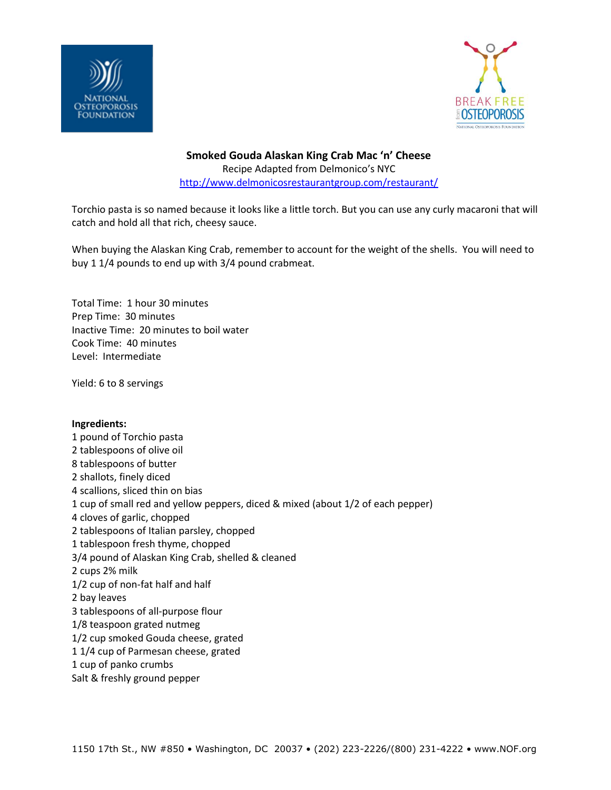



**Smoked Gouda Alaskan King Crab Mac 'n' Cheese** Recipe Adapted from Delmonico's NYC <http://www.delmonicosrestaurantgroup.com/restaurant/>

Torchio pasta is so named because it looks like a little torch. But you can use any curly macaroni that will catch and hold all that rich, cheesy sauce.

When buying the Alaskan King Crab, remember to account for the weight of the shells. You will need to buy 1 1/4 pounds to end up with 3/4 pound crabmeat.

Total Time: 1 hour 30 minutes Prep Time: 30 minutes Inactive Time: 20 minutes to boil water Cook Time: 40 minutes Level: Intermediate

Yield: 6 to 8 servings

# **Ingredients:**

1 pound of Torchio pasta 2 tablespoons of olive oil 8 tablespoons of butter 2 shallots, finely diced 4 scallions, sliced thin on bias 1 cup of small red and yellow peppers, diced & mixed (about 1/2 of each pepper) 4 cloves of garlic, chopped 2 tablespoons of Italian parsley, chopped 1 tablespoon fresh thyme, chopped 3/4 pound of Alaskan King Crab, shelled & cleaned 2 cups 2% milk 1/2 cup of non-fat half and half 2 bay leaves 3 tablespoons of all-purpose flour 1/8 teaspoon grated nutmeg 1/2 cup smoked Gouda cheese, grated 1 1/4 cup of Parmesan cheese, grated 1 cup of panko crumbs Salt & freshly ground pepper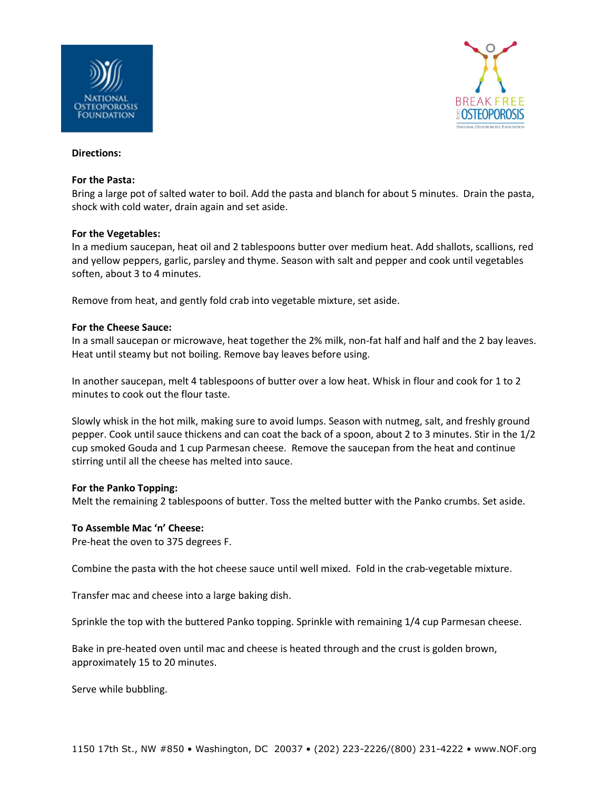



### **Directions:**

### **For the Pasta:**

Bring a large pot of salted water to boil. Add the pasta and blanch for about 5 minutes. Drain the pasta, shock with cold water, drain again and set aside.

### **For the Vegetables:**

In a medium saucepan, heat oil and 2 tablespoons butter over medium heat. Add shallots, scallions, red and yellow peppers, garlic, parsley and thyme. Season with salt and pepper and cook until vegetables soften, about 3 to 4 minutes.

Remove from heat, and gently fold crab into vegetable mixture, set aside.

### **For the Cheese Sauce:**

In a small saucepan or microwave, heat together the 2% milk, non-fat half and half and the 2 bay leaves. Heat until steamy but not boiling. Remove bay leaves before using.

In another saucepan, melt 4 tablespoons of butter over a low heat. Whisk in flour and cook for 1 to 2 minutes to cook out the flour taste.

Slowly whisk in the hot milk, making sure to avoid lumps. Season with nutmeg, salt, and freshly ground pepper. Cook until sauce thickens and can coat the back of a spoon, about 2 to 3 minutes. Stir in the 1/2 cup smoked Gouda and 1 cup Parmesan cheese. Remove the saucepan from the heat and continue stirring until all the cheese has melted into sauce.

#### **For the Panko Topping:**

Melt the remaining 2 tablespoons of butter. Toss the melted butter with the Panko crumbs. Set aside.

#### **To Assemble Mac 'n' Cheese:**

Pre-heat the oven to 375 degrees F.

Combine the pasta with the hot cheese sauce until well mixed. Fold in the crab-vegetable mixture.

Transfer mac and cheese into a large baking dish.

Sprinkle the top with the buttered Panko topping. Sprinkle with remaining 1/4 cup Parmesan cheese.

Bake in pre-heated oven until mac and cheese is heated through and the crust is golden brown, approximately 15 to 20 minutes.

Serve while bubbling.